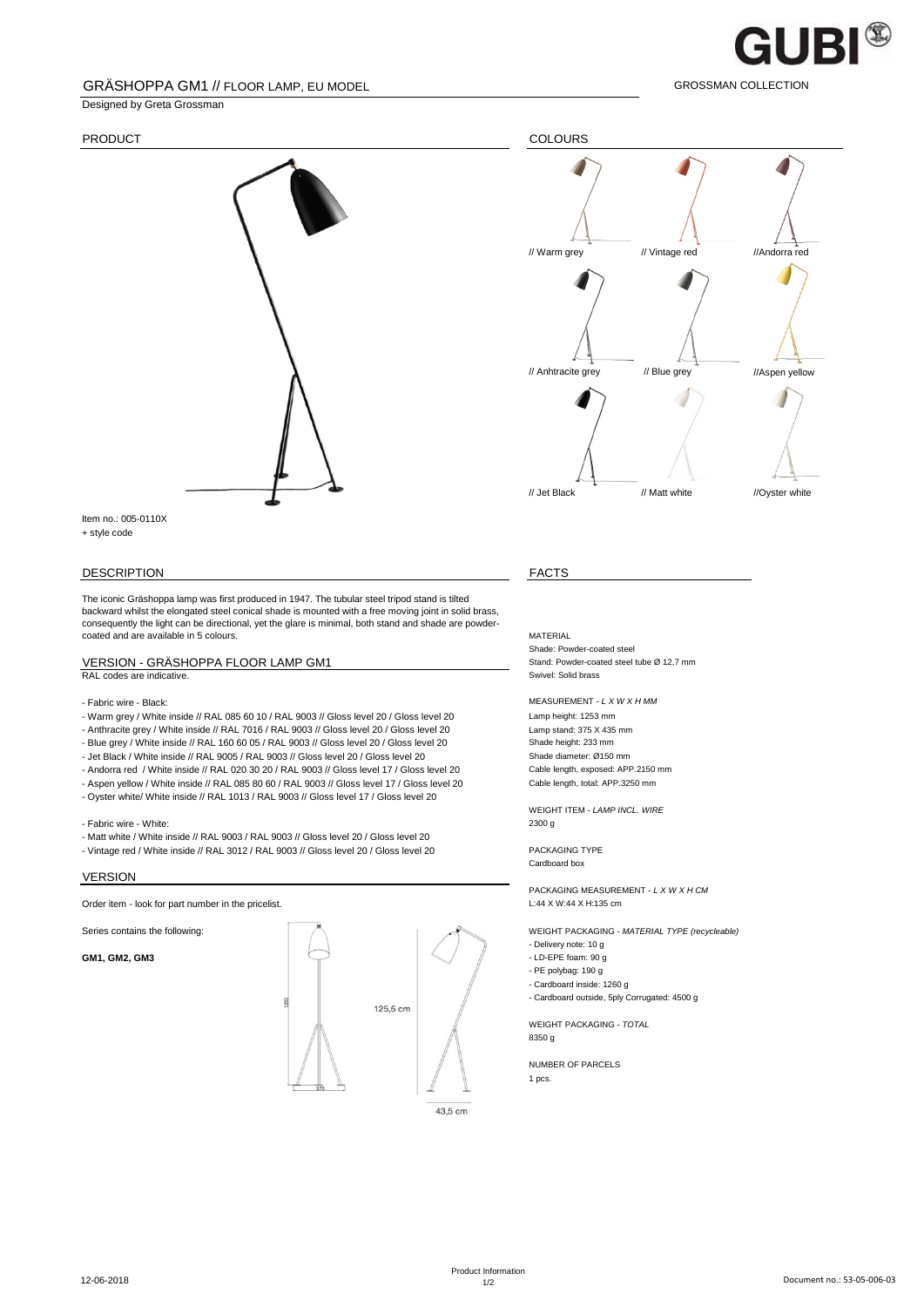

GROSSMAN COLLECTION

### GRÄSHOPPA GM1 // FLOOR LAMP, EU MODEL

Designed by Greta Grossman



Item no.: 005-0110X + style code

#### DESCRIPTION FACTS

The iconic Gräshoppa lamp was first produced in 1947. The tubular steel tripod stand is tilted backward whilst the elongated steel conical shade is mounted with a free moving joint in solid brass, consequently the light can be directional, yet the glare is minimal, both stand and shade are powdercoated and are available in 5 colours.

## RAL codes are indicative.

- Warm grey / White inside // RAL 085 60 10 / RAL 9003 // Gloss level 20 / Gloss level 20 Lamp height: 1253 mm<br>- Anthracite grey / White inside // RAL 7016 / RAL 9003 // Gloss level 20 / Gloss level 20 Lamp stand: 375 X 43 - Anthracite grey / White inside // RAL 7016 / RAL 9003 // Gloss level 20 / Gloss level 20

- 
- Blue grey / White inside // RAL 160 60 05 / RAL 9003 // Gloss level 20 / Gloss level 20<br>- Jet Black / White inside // RAI 9005 / RAI 9003 // Gloss level 20 / Gloss level 20 Shade diameter: Ø150 mm - Jet Black / White inside // RAL 9005 / RAL 9003 // Gloss level 20 / Gloss level 20
- Andorra red / White inside // RAL 020 30 20 / RAL 9003 // Gloss level 17 / Gloss level 20 Cable length, exposed: APP.2150 mm
- Aspen yellow / White inside // RAL 085 80 60 / RAL 9003 // Gloss level 17 / Gloss level 20 Cable length, total: APP.3250 mm
- Oyster white/ White inside // RAL 1013 / RAL 9003 // Gloss level 17 / Gloss level 20

- Fabric wire - White:

- Matt white / White inside // RAL 9003 / RAL 9003 // Gloss level 20 / Gloss level 20
- Vintage red / White inside // RAL 3012 / RAL 9003 // Gloss level 20 / Gloss level 20 PACKAGING TYPE

#### VERSION

Order item - look for part number in the pricelist. Chicago and the pricelistic context of the pricelist.





Shade: Powder-coated steel VERSION - GRÄSHOPPA FLOOR LAMP GM1<br>
RAL codes are indicative.<br>
Swivel: Solid brass<br>
Swivel: Solid brass

#### - Fabric wire - Black: MEASUREMENT - *L X W X H MM*

WEIGHT ITEM - *LAMP INCL. WIRE*

Cardboard box

PACKAGING MEASUREMENT - *L X W X H CM*

Series contains the following: WEIGHT PACKAGING - *MATERIAL TYPE (recycleable)* - Delivery note: 10 g

- 
- PE polybag: 190 g
- Cardboard inside: 1260 g
- Cardboard outside, 5ply Corrugated: 4500 g

WEIGHT PACKAGING - *TOTAL* 8350 g

NUMBER OF PARCELS 1 pcs.